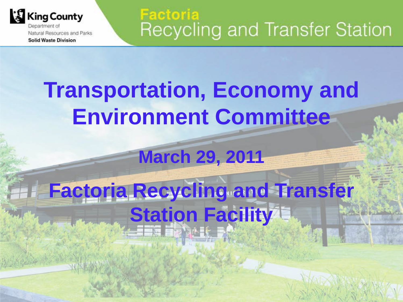

Natural Resources and Parks **Solid Waste Division** 

<u>Factoria</u> **Recycling and Transfer Station** 

# **Transportation, Economy and Environment Committee**

**March 29, 2011**

**Factoria Recycling and Transfer Station Facility**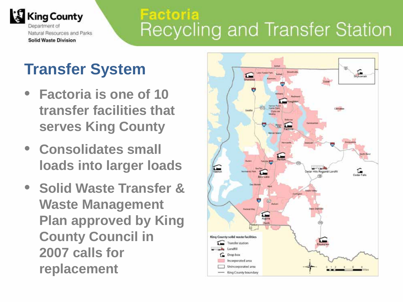

# **Transfer System**

- **Factoria is one of 10 transfer facilities that serves King County**
- **Consolidates small loads into larger loads**
- **Solid Waste Transfer & Waste Management Plan approved by King County Council in 2007 calls for replacement**

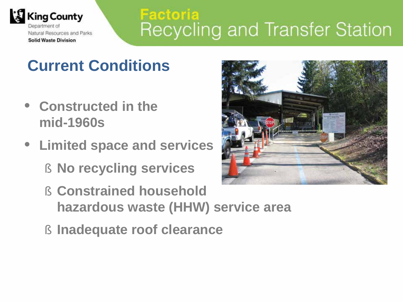

#### **Current Conditions**

- **Constructed in the mid-1960s**
- **Limited space and services**
	- § **No recycling services**
	- § **Constrained household hazardous waste (HHW) service area**
	- § **Inadequate roof clearance**

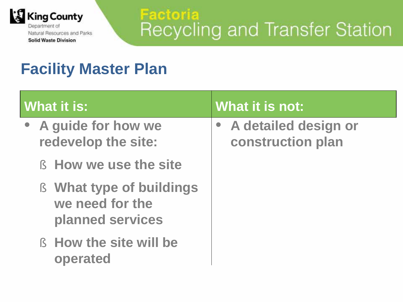

#### **Facility Master Plan**

| <b>What it is:</b> |                                             |                                                                        | What it is not:                           |
|--------------------|---------------------------------------------|------------------------------------------------------------------------|-------------------------------------------|
|                    | • A guide for how we<br>redevelop the site: |                                                                        | A detailed design or<br>construction plan |
|                    |                                             | How we use the site                                                    |                                           |
|                    |                                             | <b>§</b> What type of buildings<br>we need for the<br>planned services |                                           |
|                    |                                             | <b>How the site will be</b><br>operated                                |                                           |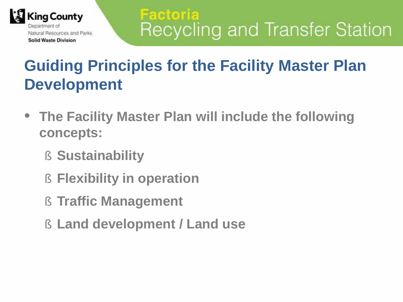

#### **Guiding Principles for the Facility Master Plan Development**

- **The Facility Master Plan will include the following concepts:**
	- § **Sustainability**
	- § **Flexibility in operation**
	- § **Traffic Management**
	- § **Land development / Land use**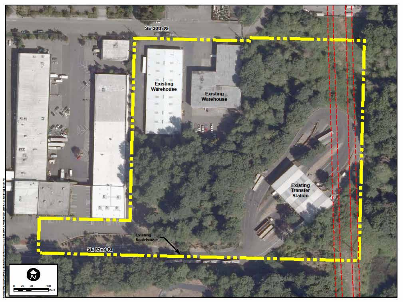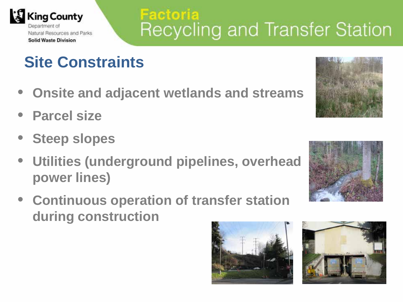

## **Site Constraints**

- **Onsite and adjacent wetlands and streams**
- **Parcel size**
- **Steep slopes**
- **Utilities (underground pipelines, overhead power lines)**
- **Continuous operation of transfer station during construction**







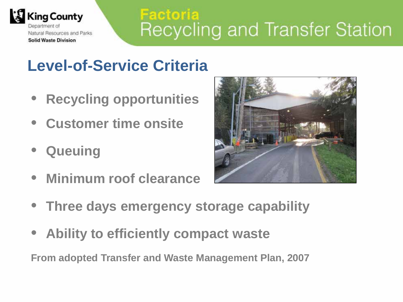

#### **Level-of-Service Criteria**

- **Recycling opportunities**
- **Customer time onsite**
- **Queuing**
- **Minimum roof clearance**



- **Three days emergency storage capability**
- **Ability to efficiently compact waste**

**From adopted Transfer and Waste Management Plan, 2007**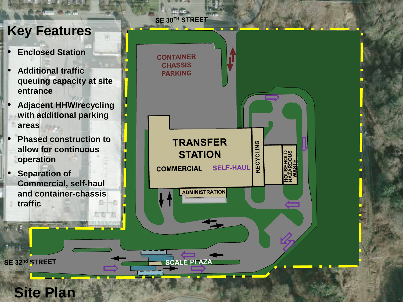#### **Key Features**

- **Enclosed Station**
- **Additional traffic queuing capacity at site entrance**
- **Adjacent HHW/recycling with additional parking areas**
- **Phased construction to allow for continuous operation**
- **Separation of Commercial, self-haul and container-chassis traffic**

**CONTAINER CHASSIS PARKING TRANSFER CLING STATION REC SELF-HAUL COMMERCIAL ADMINISTRATION** 

SE 30TH STREET

**SCALE PLAZA** 

SE 32<sup>nd</sup> STREET

**Site Plan**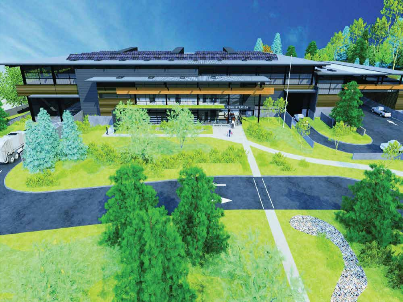